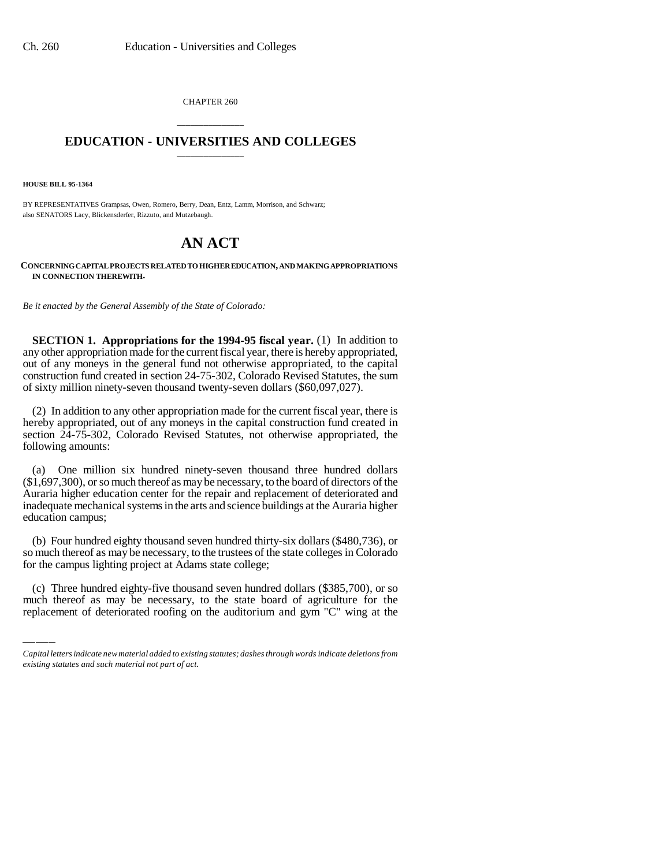CHAPTER 260

## \_\_\_\_\_\_\_\_\_\_\_\_\_\_\_ **EDUCATION - UNIVERSITIES AND COLLEGES** \_\_\_\_\_\_\_\_\_\_\_\_\_\_\_

**HOUSE BILL 95-1364**

BY REPRESENTATIVES Grampsas, Owen, Romero, Berry, Dean, Entz, Lamm, Morrison, and Schwarz; also SENATORS Lacy, Blickensderfer, Rizzuto, and Mutzebaugh.

## **AN ACT**

## **CONCERNING CAPITAL PROJECTS RELATED TO HIGHER EDUCATION, AND MAKING APPROPRIATIONS IN CONNECTION THEREWITH.**

*Be it enacted by the General Assembly of the State of Colorado:*

**SECTION 1. Appropriations for the 1994-95 fiscal year.** (1) In addition to any other appropriation made for the current fiscal year, there is hereby appropriated, out of any moneys in the general fund not otherwise appropriated, to the capital construction fund created in section 24-75-302, Colorado Revised Statutes, the sum of sixty million ninety-seven thousand twenty-seven dollars (\$60,097,027).

(2) In addition to any other appropriation made for the current fiscal year, there is hereby appropriated, out of any moneys in the capital construction fund created in section 24-75-302, Colorado Revised Statutes, not otherwise appropriated, the following amounts:

(a) One million six hundred ninety-seven thousand three hundred dollars (\$1,697,300), or so much thereof as may be necessary, to the board of directors of the Auraria higher education center for the repair and replacement of deteriorated and inadequate mechanical systems in the arts and science buildings at the Auraria higher education campus;

for the campus lighting project at Adams state college; (b) Four hundred eighty thousand seven hundred thirty-six dollars (\$480,736), or so much thereof as may be necessary, to the trustees of the state colleges in Colorado

(c) Three hundred eighty-five thousand seven hundred dollars (\$385,700), or so much thereof as may be necessary, to the state board of agriculture for the replacement of deteriorated roofing on the auditorium and gym "C" wing at the

*Capital letters indicate new material added to existing statutes; dashes through words indicate deletions from existing statutes and such material not part of act.*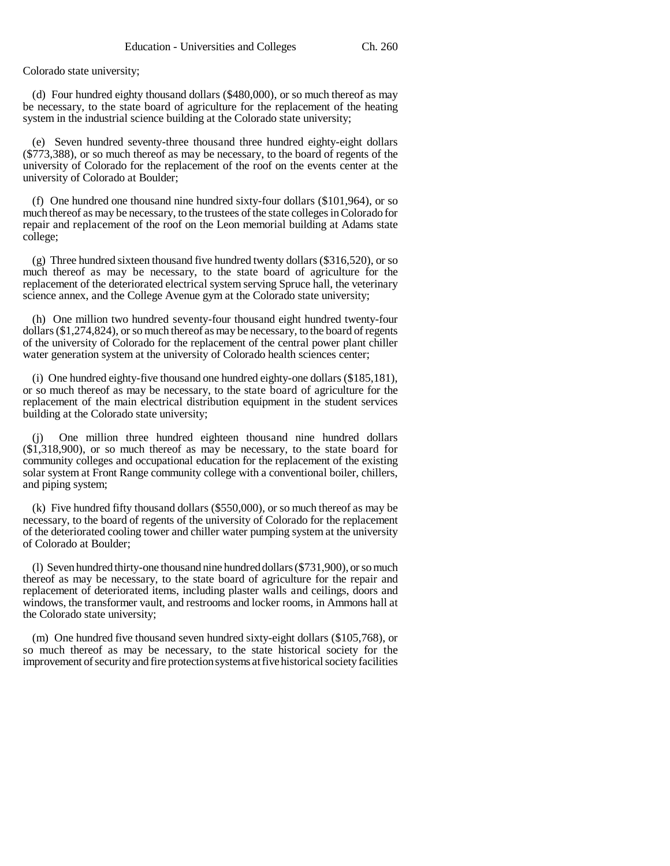Colorado state university;

(d) Four hundred eighty thousand dollars (\$480,000), or so much thereof as may be necessary, to the state board of agriculture for the replacement of the heating system in the industrial science building at the Colorado state university;

(e) Seven hundred seventy-three thousand three hundred eighty-eight dollars (\$773,388), or so much thereof as may be necessary, to the board of regents of the university of Colorado for the replacement of the roof on the events center at the university of Colorado at Boulder;

(f) One hundred one thousand nine hundred sixty-four dollars (\$101,964), or so much thereof as may be necessary, to the trustees of the state colleges in Colorado for repair and replacement of the roof on the Leon memorial building at Adams state college;

(g) Three hundred sixteen thousand five hundred twenty dollars (\$316,520), or so much thereof as may be necessary, to the state board of agriculture for the replacement of the deteriorated electrical system serving Spruce hall, the veterinary science annex, and the College Avenue gym at the Colorado state university;

(h) One million two hundred seventy-four thousand eight hundred twenty-four dollars (\$1,274,824), or so much thereof as may be necessary, to the board of regents of the university of Colorado for the replacement of the central power plant chiller water generation system at the university of Colorado health sciences center;

(i) One hundred eighty-five thousand one hundred eighty-one dollars (\$185,181), or so much thereof as may be necessary, to the state board of agriculture for the replacement of the main electrical distribution equipment in the student services building at the Colorado state university;

One million three hundred eighteen thousand nine hundred dollars  $(\$1,318,900)$ , or so much thereof as may be necessary, to the state board for community colleges and occupational education for the replacement of the existing solar system at Front Range community college with a conventional boiler, chillers, and piping system;

(k) Five hundred fifty thousand dollars (\$550,000), or so much thereof as may be necessary, to the board of regents of the university of Colorado for the replacement of the deteriorated cooling tower and chiller water pumping system at the university of Colorado at Boulder;

(l) Seven hundred thirty-one thousand nine hundred dollars (\$731,900), or so much thereof as may be necessary, to the state board of agriculture for the repair and replacement of deteriorated items, including plaster walls and ceilings, doors and windows, the transformer vault, and restrooms and locker rooms, in Ammons hall at the Colorado state university;

(m) One hundred five thousand seven hundred sixty-eight dollars (\$105,768), or so much thereof as may be necessary, to the state historical society for the improvement of security and fire protection systems at five historical society facilities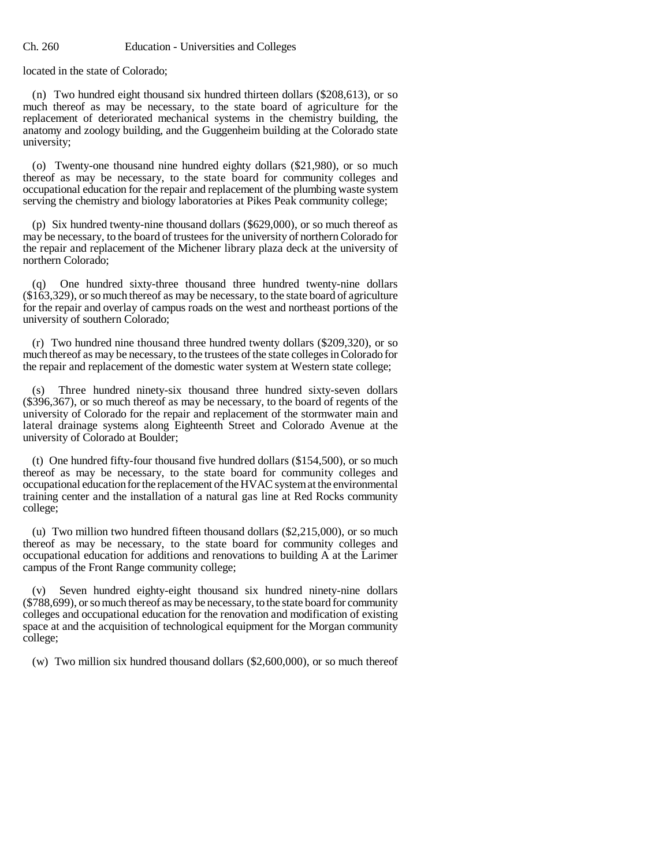located in the state of Colorado;

(n) Two hundred eight thousand six hundred thirteen dollars (\$208,613), or so much thereof as may be necessary, to the state board of agriculture for the replacement of deteriorated mechanical systems in the chemistry building, the anatomy and zoology building, and the Guggenheim building at the Colorado state university;

(o) Twenty-one thousand nine hundred eighty dollars (\$21,980), or so much thereof as may be necessary, to the state board for community colleges and occupational education for the repair and replacement of the plumbing waste system serving the chemistry and biology laboratories at Pikes Peak community college;

(p) Six hundred twenty-nine thousand dollars (\$629,000), or so much thereof as may be necessary, to the board of trustees for the university of northern Colorado for the repair and replacement of the Michener library plaza deck at the university of northern Colorado;

(q) One hundred sixty-three thousand three hundred twenty-nine dollars (\$163,329), or so much thereof as may be necessary, to the state board of agriculture for the repair and overlay of campus roads on the west and northeast portions of the university of southern Colorado;

(r) Two hundred nine thousand three hundred twenty dollars (\$209,320), or so much thereof as may be necessary, to the trustees of the state colleges in Colorado for the repair and replacement of the domestic water system at Western state college;

(s) Three hundred ninety-six thousand three hundred sixty-seven dollars (\$396,367), or so much thereof as may be necessary, to the board of regents of the university of Colorado for the repair and replacement of the stormwater main and lateral drainage systems along Eighteenth Street and Colorado Avenue at the university of Colorado at Boulder;

(t) One hundred fifty-four thousand five hundred dollars (\$154,500), or so much thereof as may be necessary, to the state board for community colleges and occupational education for the replacement of the HVAC system at the environmental training center and the installation of a natural gas line at Red Rocks community college;

(u) Two million two hundred fifteen thousand dollars (\$2,215,000), or so much thereof as may be necessary, to the state board for community colleges and occupational education for additions and renovations to building A at the Larimer campus of the Front Range community college;

Seven hundred eighty-eight thousand six hundred ninety-nine dollars (\$788,699), or so much thereof as may be necessary, to the state board for community colleges and occupational education for the renovation and modification of existing space at and the acquisition of technological equipment for the Morgan community college;

(w) Two million six hundred thousand dollars (\$2,600,000), or so much thereof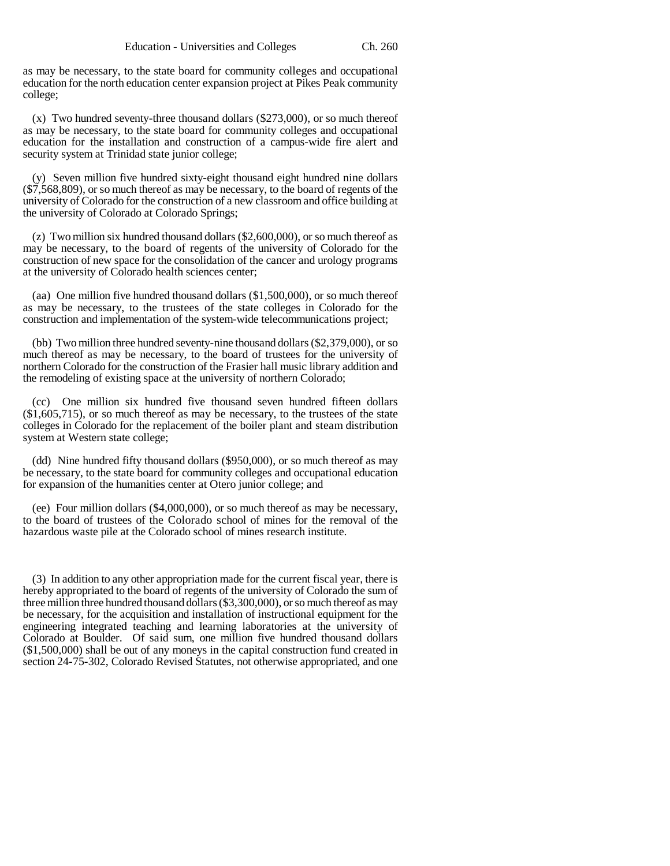as may be necessary, to the state board for community colleges and occupational education for the north education center expansion project at Pikes Peak community college;

(x) Two hundred seventy-three thousand dollars (\$273,000), or so much thereof as may be necessary, to the state board for community colleges and occupational education for the installation and construction of a campus-wide fire alert and security system at Trinidad state junior college;

(y) Seven million five hundred sixty-eight thousand eight hundred nine dollars (\$7,568,809), or so much thereof as may be necessary, to the board of regents of the university of Colorado for the construction of a new classroom and office building at the university of Colorado at Colorado Springs;

(z) Two million six hundred thousand dollars (\$2,600,000), or so much thereof as may be necessary, to the board of regents of the university of Colorado for the construction of new space for the consolidation of the cancer and urology programs at the university of Colorado health sciences center;

(aa) One million five hundred thousand dollars (\$1,500,000), or so much thereof as may be necessary, to the trustees of the state colleges in Colorado for the construction and implementation of the system-wide telecommunications project;

(bb) Two million three hundred seventy-nine thousand dollars (\$2,379,000), or so much thereof as may be necessary, to the board of trustees for the university of northern Colorado for the construction of the Frasier hall music library addition and the remodeling of existing space at the university of northern Colorado;

(cc) One million six hundred five thousand seven hundred fifteen dollars (\$1,605,715), or so much thereof as may be necessary, to the trustees of the state colleges in Colorado for the replacement of the boiler plant and steam distribution system at Western state college;

(dd) Nine hundred fifty thousand dollars (\$950,000), or so much thereof as may be necessary, to the state board for community colleges and occupational education for expansion of the humanities center at Otero junior college; and

(ee) Four million dollars (\$4,000,000), or so much thereof as may be necessary, to the board of trustees of the Colorado school of mines for the removal of the hazardous waste pile at the Colorado school of mines research institute.

(3) In addition to any other appropriation made for the current fiscal year, there is hereby appropriated to the board of regents of the university of Colorado the sum of three million three hundred thousand dollars (\$3,300,000), or so much thereof as may be necessary, for the acquisition and installation of instructional equipment for the engineering integrated teaching and learning laboratories at the university of Colorado at Boulder. Of said sum, one million five hundred thousand dollars (\$1,500,000) shall be out of any moneys in the capital construction fund created in section 24-75-302, Colorado Revised Statutes, not otherwise appropriated, and one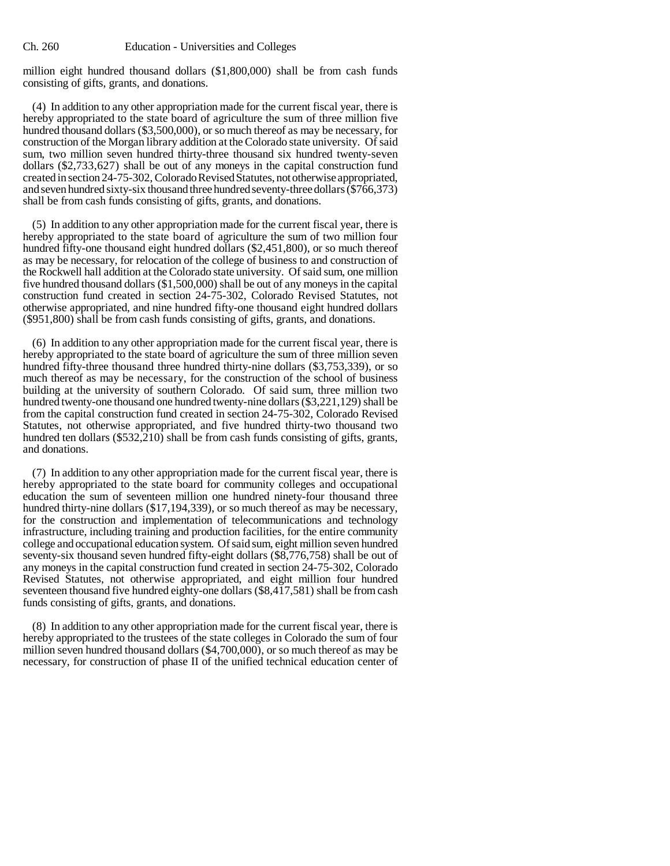million eight hundred thousand dollars (\$1,800,000) shall be from cash funds consisting of gifts, grants, and donations.

(4) In addition to any other appropriation made for the current fiscal year, there is hereby appropriated to the state board of agriculture the sum of three million five hundred thousand dollars (\$3,500,000), or so much thereof as may be necessary, for construction of the Morgan library addition at the Colorado state university. Of said sum, two million seven hundred thirty-three thousand six hundred twenty-seven dollars (\$2,733,627) shall be out of any moneys in the capital construction fund created in section 24-75-302, Colorado Revised Statutes, not otherwise appropriated, and seven hundred sixty-six thousand three hundred seventy-three dollars (\$766,373) shall be from cash funds consisting of gifts, grants, and donations.

(5) In addition to any other appropriation made for the current fiscal year, there is hereby appropriated to the state board of agriculture the sum of two million four hundred fifty-one thousand eight hundred dollars (\$2,451,800), or so much thereof as may be necessary, for relocation of the college of business to and construction of the Rockwell hall addition at the Colorado state university. Of said sum, one million five hundred thousand dollars (\$1,500,000) shall be out of any moneys in the capital construction fund created in section 24-75-302, Colorado Revised Statutes, not otherwise appropriated, and nine hundred fifty-one thousand eight hundred dollars (\$951,800) shall be from cash funds consisting of gifts, grants, and donations.

(6) In addition to any other appropriation made for the current fiscal year, there is hereby appropriated to the state board of agriculture the sum of three million seven hundred fifty-three thousand three hundred thirty-nine dollars (\$3,753,339), or so much thereof as may be necessary, for the construction of the school of business building at the university of southern Colorado. Of said sum, three million two hundred twenty-one thousand one hundred twenty-nine dollars (\$3,221,129) shall be from the capital construction fund created in section 24-75-302, Colorado Revised Statutes, not otherwise appropriated, and five hundred thirty-two thousand two hundred ten dollars  $(\$532,210)$  shall be from cash funds consisting of gifts, grants, and donations.

(7) In addition to any other appropriation made for the current fiscal year, there is hereby appropriated to the state board for community colleges and occupational education the sum of seventeen million one hundred ninety-four thousand three hundred thirty-nine dollars (\$17,194,339), or so much thereof as may be necessary, for the construction and implementation of telecommunications and technology infrastructure, including training and production facilities, for the entire community college and occupational education system. Of said sum, eight million seven hundred seventy-six thousand seven hundred fifty-eight dollars (\$8,776,758) shall be out of any moneys in the capital construction fund created in section 24-75-302, Colorado Revised Statutes, not otherwise appropriated, and eight million four hundred seventeen thousand five hundred eighty-one dollars (\$8,417,581) shall be from cash funds consisting of gifts, grants, and donations.

(8) In addition to any other appropriation made for the current fiscal year, there is hereby appropriated to the trustees of the state colleges in Colorado the sum of four million seven hundred thousand dollars (\$4,700,000), or so much thereof as may be necessary, for construction of phase II of the unified technical education center of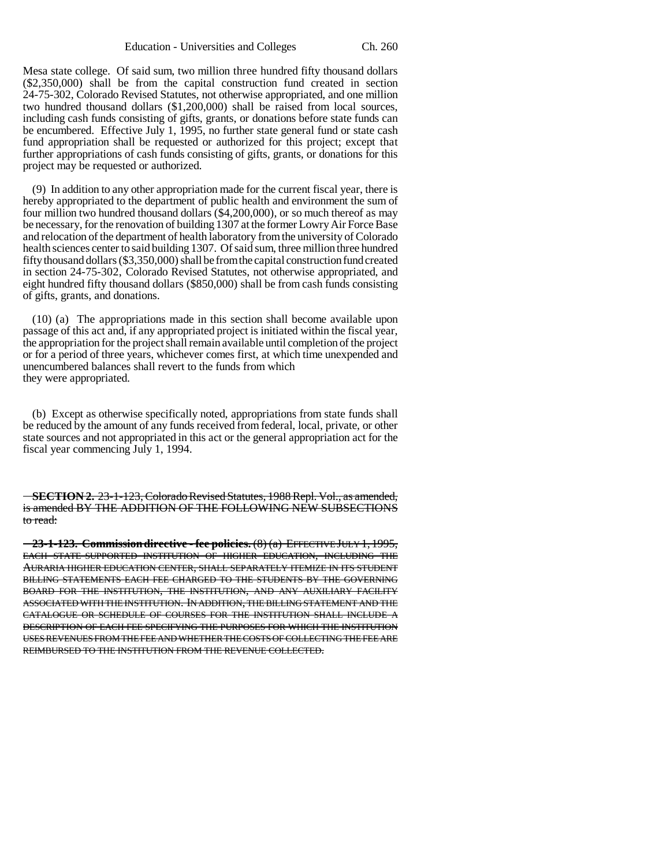Mesa state college. Of said sum, two million three hundred fifty thousand dollars (\$2,350,000) shall be from the capital construction fund created in section 24-75-302, Colorado Revised Statutes, not otherwise appropriated, and one million two hundred thousand dollars (\$1,200,000) shall be raised from local sources, including cash funds consisting of gifts, grants, or donations before state funds can be encumbered. Effective July 1, 1995, no further state general fund or state cash fund appropriation shall be requested or authorized for this project; except that further appropriations of cash funds consisting of gifts, grants, or donations for this project may be requested or authorized.

(9) In addition to any other appropriation made for the current fiscal year, there is hereby appropriated to the department of public health and environment the sum of four million two hundred thousand dollars (\$4,200,000), or so much thereof as may be necessary, for the renovation of building 1307 at the former Lowry Air Force Base and relocation of the department of health laboratory from the university of Colorado health sciences center to said building 1307. Of said sum, three million three hundred fifty thousand dollars (\$3,350,000) shall be from the capital construction fund created in section 24-75-302, Colorado Revised Statutes, not otherwise appropriated, and eight hundred fifty thousand dollars (\$850,000) shall be from cash funds consisting of gifts, grants, and donations.

(10) (a) The appropriations made in this section shall become available upon passage of this act and, if any appropriated project is initiated within the fiscal year, the appropriation for the project shall remain available until completion of the project or for a period of three years, whichever comes first, at which time unexpended and unencumbered balances shall revert to the funds from which they were appropriated.

(b) Except as otherwise specifically noted, appropriations from state funds shall be reduced by the amount of any funds received from federal, local, private, or other state sources and not appropriated in this act or the general appropriation act for the fiscal year commencing July 1, 1994.

**SECTION 2.** 23-1-123, Colorado Revised Statutes, 1988 Repl. Vol., as amended, is amended BY THE ADDITION OF THE FOLLOWING NEW SUBSECTIONS to read:

**23-1-123. Commission directive - fee policies.** (8) (a) EFFECTIVE JULY 1, 1995, EACH STATE-SUPPORTED INSTITUTION OF HIGHER EDUCATION, INCLUDING THE AURARIA HIGHER EDUCATION CENTER, SHALL SEPARATELY ITEMIZE IN ITS STUDENT BILLING STATEMENTS EACH FEE CHARGED TO THE STUDENTS BY THE GOVERNING BOARD FOR THE INSTITUTION, THE INSTITUTION, AND ANY AUXILIARY FACILITY ASSOCIATED WITH THE INSTITUTION. IN ADDITION, THE BILLING STATEMENT AND THE CATALOGUE OR SCHEDULE OF COURSES FOR THE INSTITUTION SHALL INCLUDE A DESCRIPTION OF EACH FEE SPECIFYING THE PURPOSES FOR WHICH THE INSTITUTION USES REVENUES FROM THE FEE AND WHETHER THE COSTS OF COLLECTING THE FEE ARE REIMBURSED TO THE INSTITUTION FROM THE REVENUE COLLECTED.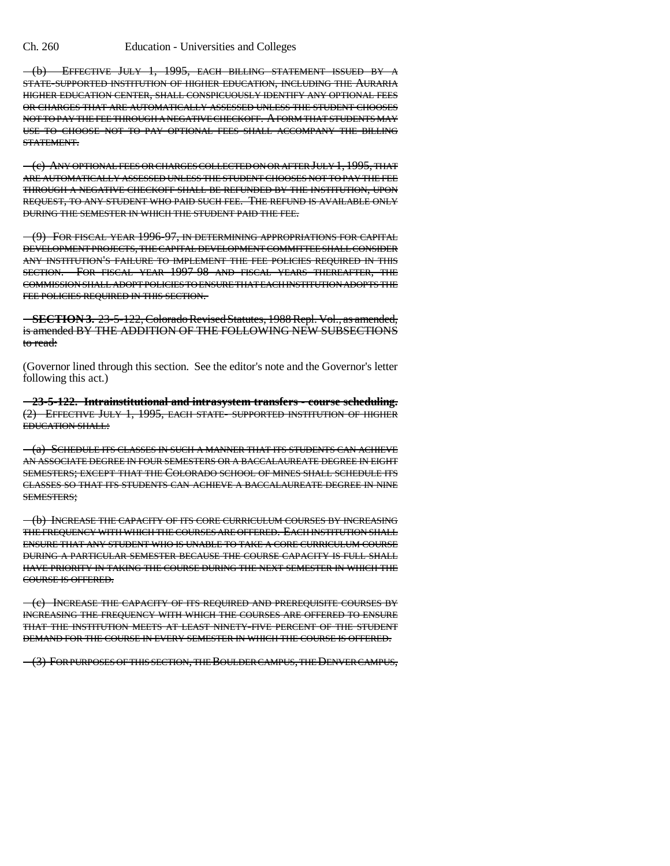(b) EFFECTIVE JULY 1, 1995, EACH BILLING STATEMENT ISSUED BY A STATE-SUPPORTED INSTITUTION OF HIGHER EDUCATION, INCLUDING THE AURARIA HIGHER EDUCATION CENTER, SHALL CONSPICUOUSLY IDENTIFY ANY OPTIONAL FEES OR CHARGES THAT ARE AUTOMATICALLY ASSESSED UNLESS THE STUDENT CHOOSES NOT TO PAY THE FEE THROUGH A NEGATIVE CHECKOFF. A FORM THAT STUDENTS MAY USE TO CHOOSE NOT TO PAY OPTIONAL FEES SHALL ACCOMPANY THE BILLING STATEMENT.

(c) ANY OPTIONAL FEES OR CHARGES COLLECTED ON OR AFTER JULY 1, 1995, THAT ARE AUTOMATICALLY ASSESSED UNLESS THE STUDENT CHOOSES NOT TO PAY THE FEE THROUGH A NEGATIVE CHECKOFF SHALL BE REFUNDED BY THE INSTITUTION, UPON REQUEST, TO ANY STUDENT WHO PAID SUCH FEE. THE REFUND IS AVAILABLE ONLY DURING THE SEMESTER IN WHICH THE STUDENT PAID THE FEE.

(9) FOR FISCAL YEAR 1996-97, IN DETERMINING APPROPRIATIONS FOR CAPITAL DEVELOPMENT PROJECTS, THE CAPITAL DEVELOPMENT COMMITTEE SHALL CONSIDER ANY INSTITUTION'S FAILURE TO IMPLEMENT THE FEE POLICIES REQUIRED IN THIS SECTION. FOR FISCAL YEAR 1997-98 AND FISCAL YEARS THEREAFTER, THE COMMISSION SHALL ADOPT POLICIES TO ENSURE THAT EACH INSTITUTION ADOPTS THE FEE POLICIES REQUIRED IN THIS SECTION.

**SECTION 3.** 23-5-122, Colorado Revised Statutes, 1988 Repl. Vol., as amended, is amended BY THE ADDITION OF THE FOLLOWING NEW SUBSECTIONS to read:

(Governor lined through this section. See the editor's note and the Governor's letter following this act.)

**23-5-122. Intrainstitutional and intrasystem transfers - course scheduling.** (2) EFFECTIVE JULY 1, 1995, EACH STATE- SUPPORTED INSTITUTION OF HIGHER EDUCATION SHALL:

(a) SCHEDULE ITS CLASSES IN SUCH A MANNER THAT ITS STUDENTS CAN ACHIEVE AN ASSOCIATE DEGREE IN FOUR SEMESTERS OR A BACCALAUREATE DEGREE IN EIGHT SEMESTERS; EXCEPT THAT THE COLORADO SCHOOL OF MINES SHALL SCHEDULE ITS CLASSES SO THAT ITS STUDENTS CAN ACHIEVE A BACCALAUREATE DEGREE IN NINE SEMESTERS;

(b) INCREASE THE CAPACITY OF ITS CORE CURRICULUM COURSES BY INCREASING THE FREQUENCY WITH WHICH THE COURSES ARE OFFERED. EACH INSTITUTION SHALL ENSURE THAT ANY STUDENT WHO IS UNABLE TO TAKE A CORE CURRICULUM COURSE DURING A PARTICULAR SEMESTER BECAUSE THE COURSE CAPACITY IS FULL SHALL HAVE PRIORITY IN TAKING THE COURSE DURING THE NEXT SEMESTER IN WHICH THE COURSE IS OFFERED.

(c) INCREASE THE CAPACITY OF ITS REQUIRED AND PREREQUISITE COURSES BY INCREASING THE FREQUENCY WITH WHICH THE COURSES ARE OFFERED TO ENSURE THAT THE INSTITUTION MEETS AT LEAST NINETY-FIVE PERCENT OF THE STUDENT DEMAND FOR THE COURSE IN EVERY SEMESTER IN WHICH THE COURSE IS OFFERED.

(3) FOR PURPOSES OF THIS SECTION, THE BOULDER CAMPUS, THE DENVER CAMPUS,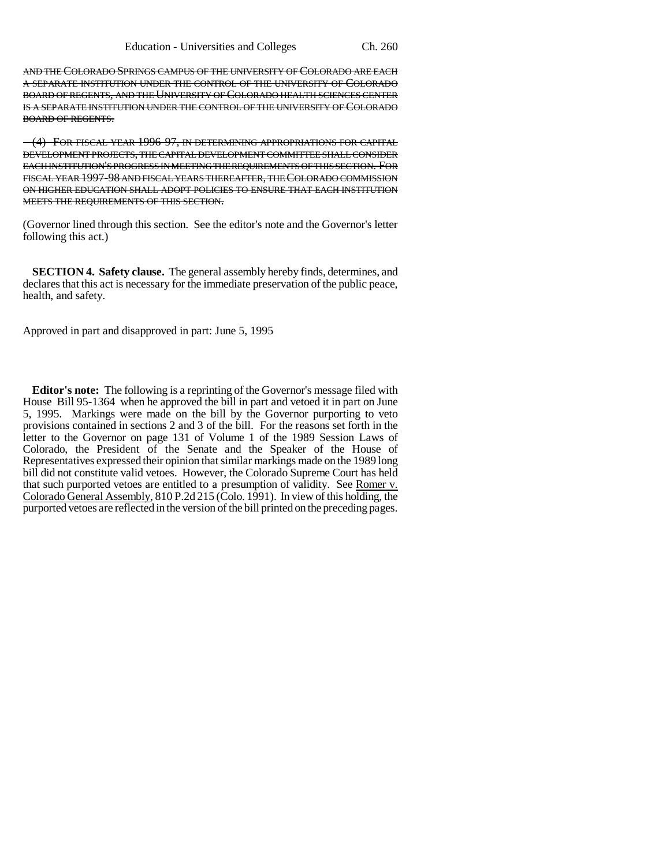AND THE COLORADO SPRINGS CAMPUS OF THE UNIVERSITY OF COLORADO ARE EACH A SEPARATE INSTITUTION UNDER THE CONTROL OF THE UNIVERSITY OF COLORADO BOARD OF REGENTS, AND THE UNIVERSITY OF COLORADO HEALTH SCIENCES CENTER IS A SEPARATE INSTITUTION UNDER THE CONTROL OF THE UNIVERSITY OF COLORADO BOARD OF REGENTS.

(4) FOR FISCAL YEAR 1996-97, IN DETERMINING APPROPRIATIONS FOR CAPITAL DEVELOPMENT PROJECTS, THE CAPITAL DEVELOPMENT COMMITTEE SHALL CONSIDER EACH INSTITUTION'S PROGRESS IN MEETING THE REQUIREMENTS OF THIS SECTION. FOR FISCAL YEAR 1997-98 AND FISCAL YEARS THEREAFTER, THE COLORADO COMMISSION ON HIGHER EDUCATION SHALL ADOPT POLICIES TO ENSURE THAT EACH INSTITUTION MEETS THE REQUIREMENTS OF THIS SECTION.

(Governor lined through this section. See the editor's note and the Governor's letter following this act.)

**SECTION 4. Safety clause.** The general assembly hereby finds, determines, and declares that this act is necessary for the immediate preservation of the public peace, health, and safety.

Approved in part and disapproved in part: June 5, 1995

**Editor's note:** The following is a reprinting of the Governor's message filed with House Bill 95-1364 when he approved the bill in part and vetoed it in part on June 5, 1995. Markings were made on the bill by the Governor purporting to veto provisions contained in sections 2 and 3 of the bill. For the reasons set forth in the letter to the Governor on page 131 of Volume 1 of the 1989 Session Laws of Colorado, the President of the Senate and the Speaker of the House of Representatives expressed their opinion that similar markings made on the 1989 long bill did not constitute valid vetoes. However, the Colorado Supreme Court has held that such purported vetoes are entitled to a presumption of validity. See Romer v. Colorado General Assembly, 810 P.2d 215 (Colo. 1991). In view of this holding, the purported vetoes are reflected in the version of the bill printed on the preceding pages.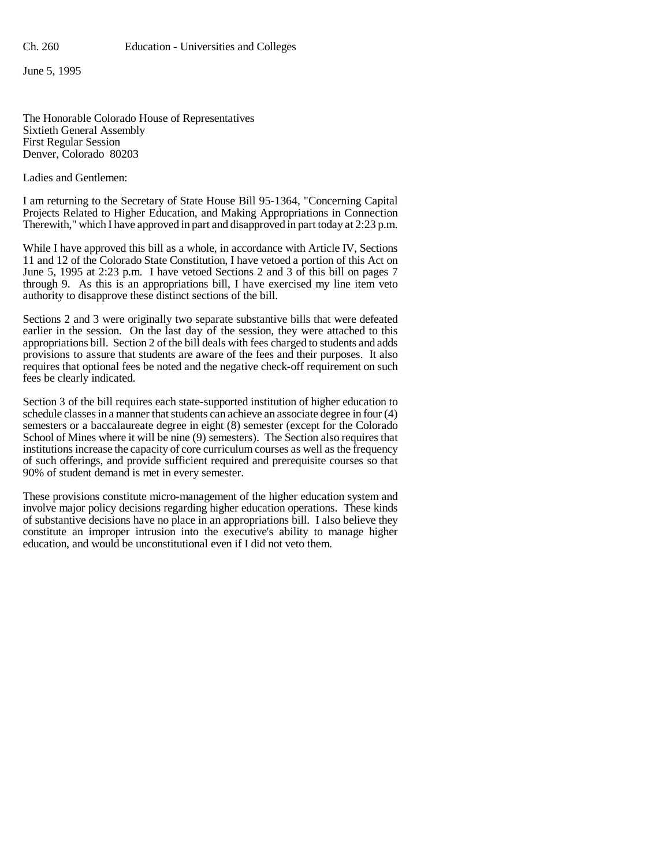June 5, 1995

The Honorable Colorado House of Representatives Sixtieth General Assembly First Regular Session Denver, Colorado 80203

Ladies and Gentlemen:

I am returning to the Secretary of State House Bill 95-1364, "Concerning Capital Projects Related to Higher Education, and Making Appropriations in Connection Therewith," which I have approved in part and disapproved in part today at 2:23 p.m.

While I have approved this bill as a whole, in accordance with Article IV, Sections 11 and 12 of the Colorado State Constitution, I have vetoed a portion of this Act on June 5, 1995 at 2:23 p.m. I have vetoed Sections 2 and 3 of this bill on pages 7 through 9. As this is an appropriations bill, I have exercised my line item veto authority to disapprove these distinct sections of the bill.

Sections 2 and 3 were originally two separate substantive bills that were defeated earlier in the session. On the last day of the session, they were attached to this appropriations bill. Section 2 of the bill deals with fees charged to students and adds provisions to assure that students are aware of the fees and their purposes. It also requires that optional fees be noted and the negative check-off requirement on such fees be clearly indicated.

Section 3 of the bill requires each state-supported institution of higher education to schedule classes in a manner that students can achieve an associate degree in four (4) semesters or a baccalaureate degree in eight (8) semester (except for the Colorado School of Mines where it will be nine (9) semesters). The Section also requires that institutions increase the capacity of core curriculum courses as well as the frequency of such offerings, and provide sufficient required and prerequisite courses so that 90% of student demand is met in every semester.

These provisions constitute micro-management of the higher education system and involve major policy decisions regarding higher education operations. These kinds of substantive decisions have no place in an appropriations bill. I also believe they constitute an improper intrusion into the executive's ability to manage higher education, and would be unconstitutional even if I did not veto them.